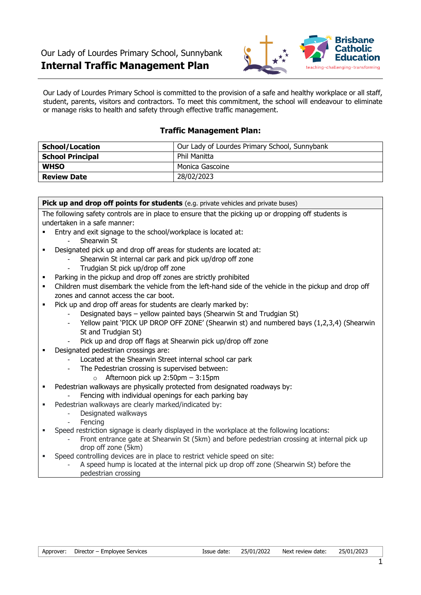

Our Lady of Lourdes Primary School is committed to the provision of a safe and healthy workplace or all staff, student, parents, visitors and contractors. To meet this commitment, the school will endeavour to eliminate or manage risks to health and safety through effective traffic management.

### **Traffic Management Plan:**

| <b>School/Location</b>  | Our Lady of Lourdes Primary School, Sunnybank |
|-------------------------|-----------------------------------------------|
| <b>School Principal</b> | Phil Manitta                                  |
| <b>WHSO</b>             | Monica Gascoine                               |
| <b>Review Date</b>      | 28/02/2023                                    |

| Pick up and drop off points for students (e.g. private vehicles and private buses) |                                                                                                       |  |  |  |  |
|------------------------------------------------------------------------------------|-------------------------------------------------------------------------------------------------------|--|--|--|--|
|                                                                                    | The following safety controls are in place to ensure that the picking up or dropping off students is  |  |  |  |  |
|                                                                                    | undertaken in a safe manner:                                                                          |  |  |  |  |
|                                                                                    | Entry and exit signage to the school/workplace is located at:                                         |  |  |  |  |
|                                                                                    | Shearwin St                                                                                           |  |  |  |  |
| ٠                                                                                  | Designated pick up and drop off areas for students are located at:                                    |  |  |  |  |
|                                                                                    | Shearwin St internal car park and pick up/drop off zone                                               |  |  |  |  |
|                                                                                    | Trudgian St pick up/drop off zone                                                                     |  |  |  |  |
|                                                                                    | Parking in the pickup and drop off zones are strictly prohibited                                      |  |  |  |  |
| ٠                                                                                  | Children must disembark the vehicle from the left-hand side of the vehicle in the pickup and drop off |  |  |  |  |
|                                                                                    | zones and cannot access the car boot.                                                                 |  |  |  |  |
| ٠                                                                                  | Pick up and drop off areas for students are clearly marked by:                                        |  |  |  |  |
|                                                                                    | Designated bays - yellow painted bays (Shearwin St and Trudgian St)                                   |  |  |  |  |
|                                                                                    | Yellow paint 'PICK UP DROP OFF ZONE' (Shearwin st) and numbered bays (1,2,3,4) (Shearwin              |  |  |  |  |
|                                                                                    | St and Trudgian St)                                                                                   |  |  |  |  |
|                                                                                    | Pick up and drop off flags at Shearwin pick up/drop off zone                                          |  |  |  |  |
|                                                                                    | Designated pedestrian crossings are:                                                                  |  |  |  |  |
|                                                                                    | Located at the Shearwin Street internal school car park                                               |  |  |  |  |
|                                                                                    | The Pedestrian crossing is supervised between:                                                        |  |  |  |  |
|                                                                                    | Afternoon pick up 2:50pm - 3:15pm<br>$\circ$                                                          |  |  |  |  |
| ٠                                                                                  | Pedestrian walkways are physically protected from designated roadways by:                             |  |  |  |  |
|                                                                                    | Fencing with individual openings for each parking bay                                                 |  |  |  |  |
| ٠                                                                                  | Pedestrian walkways are clearly marked/indicated by:                                                  |  |  |  |  |
|                                                                                    | Designated walkways                                                                                   |  |  |  |  |
|                                                                                    | Fencing                                                                                               |  |  |  |  |
|                                                                                    | Speed restriction signage is clearly displayed in the workplace at the following locations:           |  |  |  |  |
|                                                                                    | Front entrance gate at Shearwin St (5km) and before pedestrian crossing at internal pick up           |  |  |  |  |
|                                                                                    | drop off zone (5km)                                                                                   |  |  |  |  |

- Speed controlling devices are in place to restrict vehicle speed on site:
	- A speed hump is located at the internal pick up drop off zone (Shearwin St) before the pedestrian crossing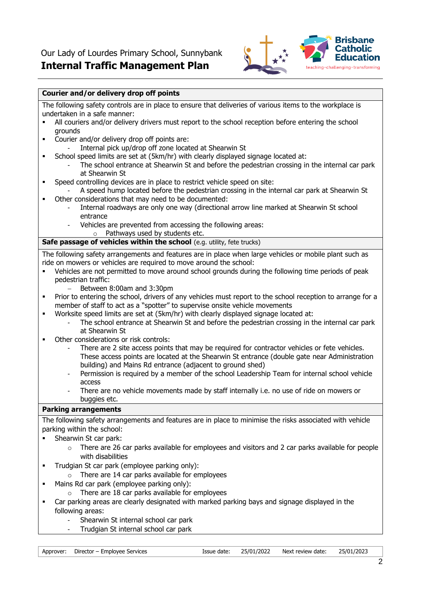

#### **Courier and/or delivery drop off points**

The following safety controls are in place to ensure that deliveries of various items to the workplace is undertaken in a safe manner:

- All couriers and/or delivery drivers must report to the school reception before entering the school grounds
- Courier and/or delivery drop off points are:
	- Internal pick up/drop off zone located at Shearwin St
- School speed limits are set at (5km/hr) with clearly displayed signage located at:
	- The school entrance at Shearwin St and before the pedestrian crossing in the internal car park at Shearwin St
- Speed controlling devices are in place to restrict vehicle speed on site:
- A speed hump located before the pedestrian crossing in the internal car park at Shearwin St ▪ Other considerations that may need to be documented:
	- Internal roadways are only one way (directional arrow line marked at Shearwin St school entrance
		- Vehicles are prevented from accessing the following areas:
			- o Pathways used by students etc.

**Safe passage of vehicles within the school** (e.g. utility, fete trucks)

The following safety arrangements and features are in place when large vehicles or mobile plant such as ride on mowers or vehicles are required to move around the school:

- Vehicles are not permitted to move around school grounds during the following time periods of peak pedestrian traffic:
	- − Between 8:00am and 3:30pm
- Prior to entering the school, drivers of any vehicles must report to the school reception to arrange for a member of staff to act as a "spotter" to supervise onsite vehicle movements
- Worksite speed limits are set at (5km/hr) with clearly displayed signage located at:
	- The school entrance at Shearwin St and before the pedestrian crossing in the internal car park at Shearwin St
- Other considerations or risk controls:
	- There are 2 site access points that may be required for contractor vehicles or fete vehicles. These access points are located at the Shearwin St entrance (double gate near Administration building) and Mains Rd entrance (adjacent to ground shed)
	- Permission is required by a member of the school Leadership Team for internal school vehicle access
	- There are no vehicle movements made by staff internally i.e. no use of ride on mowers or buggies etc.

#### **Parking arrangements**

The following safety arrangements and features are in place to minimise the risks associated with vehicle parking within the school:

- **·** Shearwin St car park:
	- $\circ$  There are 26 car parks available for employees and visitors and 2 car parks available for people with disabilities
- **•** Trudgian St car park (employee parking only):
	- o There are 14 car parks available for employees
- Mains Rd car park (employee parking only):
	- $\circ$  There are 18 car parks available for employees
- Car parking areas are clearly designated with marked parking bays and signage displayed in the following areas:
	- Shearwin St internal school car park
	- Trudgian St internal school car park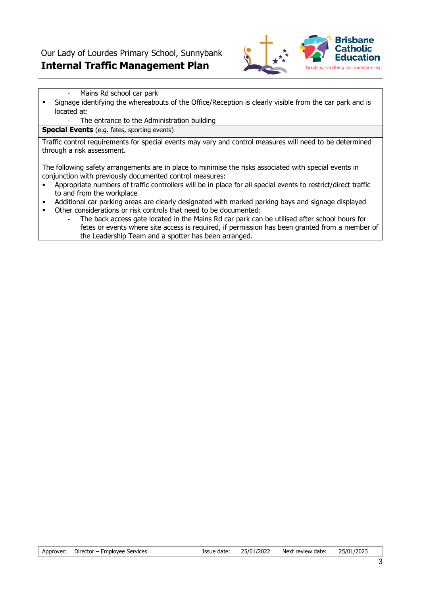

- Mains Rd school car park
- Signage identifying the whereabouts of the Office/Reception is clearly visible from the car park and is located at:
	- The entrance to the Administration building

**Special Events** (e.g. fetes, sporting events)

Traffic control requirements for special events may vary and control measures will need to be determined through a risk assessment.

The following safety arrangements are in place to minimise the risks associated with special events in conjunction with previously documented control measures:

- Appropriate numbers of traffic controllers will be in place for all special events to restrict/direct traffic to and from the workplace
- Additional car parking areas are clearly designated with marked parking bays and signage displayed
- Other considerations or risk controls that need to be documented:
	- The back access gate located in the Mains Rd car park can be utilised after school hours for fetes or events where site access is required, if permission has been granted from a member of the Leadership Team and a spotter has been arranged.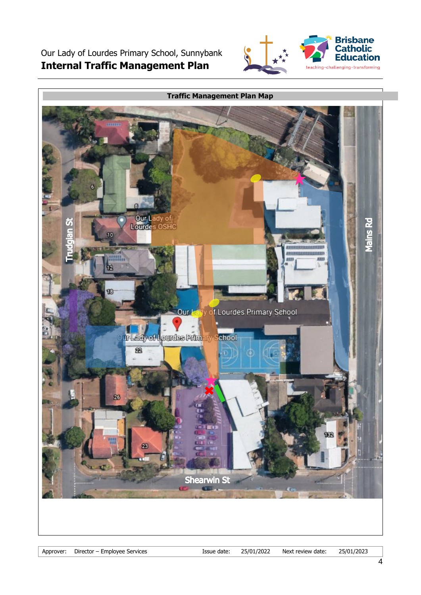

**Traffic Management Plan Map**



Approver: Director – Employee Services Issue date: 25/01/2022 Next review date: 25/01/2023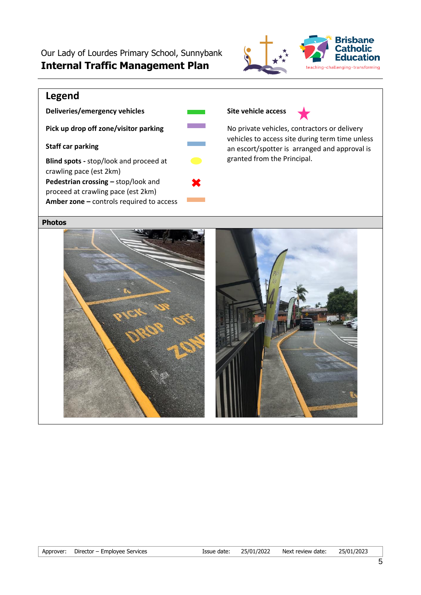

# **Legend**

| Deliveries/emergency vehicles                                             |             | Site vehicle access                                                                                                             |
|---------------------------------------------------------------------------|-------------|---------------------------------------------------------------------------------------------------------------------------------|
| Pick up drop off zone/visitor parking                                     |             | No private vehicles, contractors or delivery                                                                                    |
| <b>Staff car parking</b>                                                  |             | vehicles to access site during term time unless<br>an escort/spotter is arranged and approval is<br>granted from the Principal. |
| <b>Blind spots - stop/look and proceed at</b><br>crawling pace (est 2km)  |             |                                                                                                                                 |
| Pedestrian crossing - stop/look and<br>proceed at crawling pace (est 2km) |             |                                                                                                                                 |
| Amber zone - controls required to access                                  |             |                                                                                                                                 |
| <b>Photos</b>                                                             |             |                                                                                                                                 |
| ---                                                                       | <b>Time</b> |                                                                                                                                 |

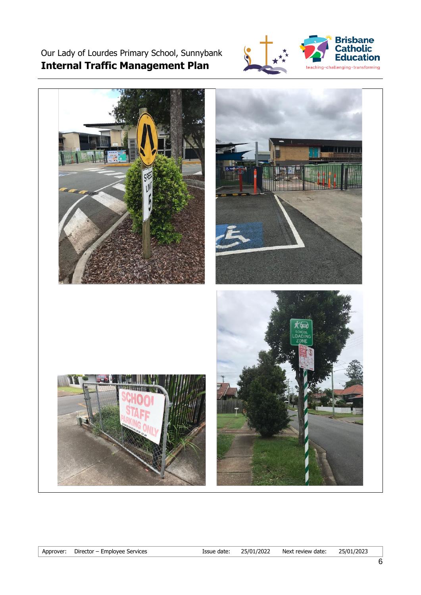